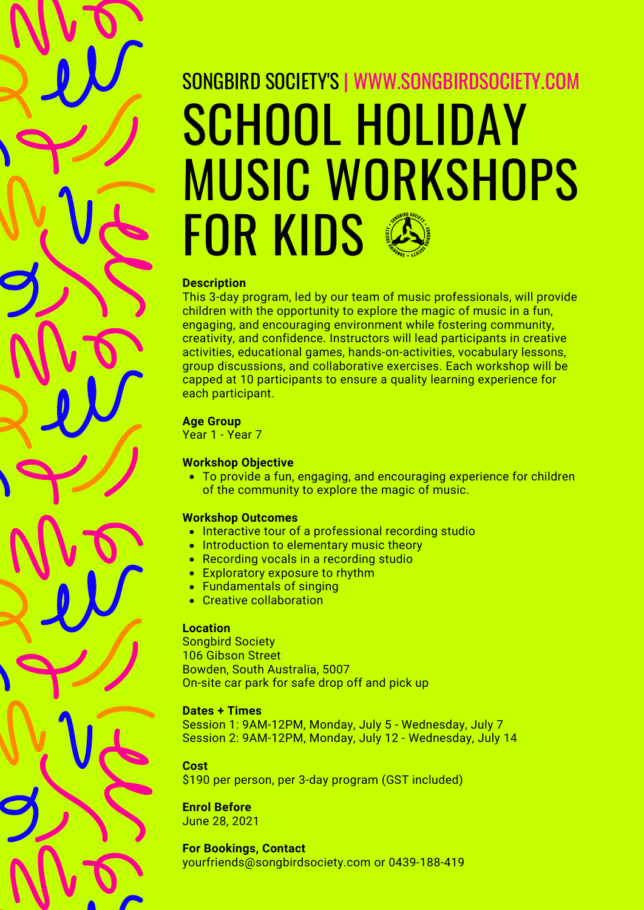# SCHOOL HOLIDAY MUSIC WORKSHOPS FOR KIDS SONGBIRD SOCIETY'S | WWW.SONGBIRDSOCIETY.COM

#### **Description**

This 3-day program, led by our team of music professionals, will provide children with the opportunity to explore the magic of music in a fun, engaging, and encouraging environment while fostering community, creativity, and confidence. Instructors will lead participants in creative activities, educational games, hands-on-activities, vocabulary lessons, group discussions, and collaborative exercises. Each workshop will be capped at 10 participants to ensure a quality learning experience for each participant.

## **Age Group**

Year 1 - Year 7

# **Workshop Objective**

To provide a fun, engaging, and encouraging experience for children of the community to explore the magic of music.

## **Workshop Outcomes**

- Interactive tour of a professional recording studio
- Introduction to elementary music theory
- Recording vocals in a recording studio
- Exploratory exposure to rhythm
- Fundamentals of singing
- Creative collaboration

## **Location**

Songbird Society 106 Gibson Street Bowden, South Australia, 5007 On-site car park for safe drop off and pick up

## **Dates + Times**

Session 1: 9AM-12PM, Monday, July 5 - Wednesday, July 7 Session 2: 9AM-12PM, Monday, July 12 - Wednesday, July 14

# **Cost**

\$190 per person, per 3-day program (GST included)

# **Enrol Before**

June 28, 2021

# **For Bookings, Contact**

yourfriends@songbirdsociety.com or 0439-188-419